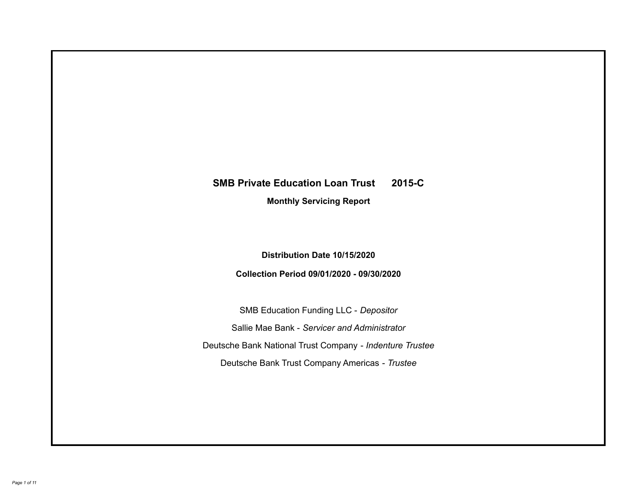# **SMB Private Education Loan Trust 2015-C Monthly Servicing Report**

**Distribution Date 10/15/2020**

**Collection Period 09/01/2020 - 09/30/2020**

SMB Education Funding LLC - *Depositor* Sallie Mae Bank - *Servicer and Administrator* Deutsche Bank National Trust Company - *Indenture Trustee* Deutsche Bank Trust Company Americas - *Trustee*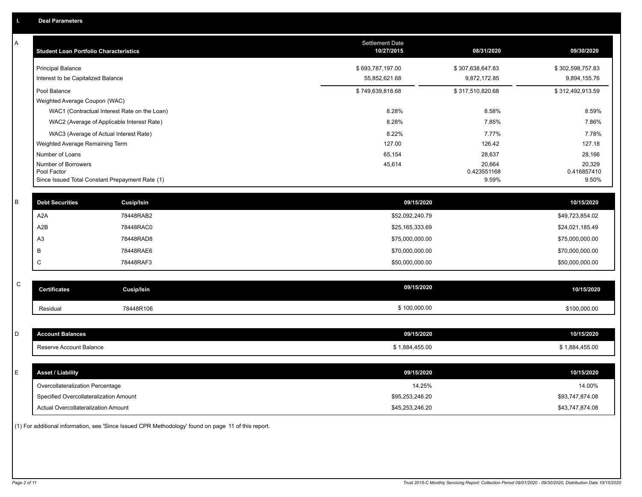| A           | <b>Student Loan Portfolio Characteristics</b>   |                   | Settlement Date<br>10/27/2015 | 08/31/2020            | 09/30/2020            |
|-------------|-------------------------------------------------|-------------------|-------------------------------|-----------------------|-----------------------|
|             | <b>Principal Balance</b>                        |                   | \$693,787,197.00              | \$307,638,647.83      | \$302,598,757.83      |
|             | Interest to be Capitalized Balance              |                   | 55,852,621.68                 | 9,872,172.85          | 9,894,155.76          |
|             | Pool Balance                                    |                   | \$749,639,818.68              | \$317,510,820.68      | \$312,492,913.59      |
|             | Weighted Average Coupon (WAC)                   |                   |                               |                       |                       |
|             | WAC1 (Contractual Interest Rate on the Loan)    |                   | 8.28%                         | 8.58%                 | 8.59%                 |
|             | WAC2 (Average of Applicable Interest Rate)      |                   | 8.28%                         | 7.85%                 | 7.86%                 |
|             | WAC3 (Average of Actual Interest Rate)          |                   | 8.22%                         | 7.77%                 | 7.78%                 |
|             | Weighted Average Remaining Term                 |                   | 127.00                        | 126.42                | 127.18                |
|             | Number of Loans                                 |                   | 65,154                        | 28,637                | 28,166                |
|             | Number of Borrowers<br>Pool Factor              |                   | 45,614                        | 20,664<br>0.423551168 | 20,329<br>0.416857410 |
|             | Since Issued Total Constant Prepayment Rate (1) |                   |                               | 9.59%                 | 9.50%                 |
|             |                                                 |                   |                               |                       |                       |
| $\sf B$     | <b>Debt Securities</b>                          | Cusip/Isin        | 09/15/2020                    |                       | 10/15/2020            |
|             | A <sub>2</sub> A                                | 78448RAB2         | \$52,092,240.79               |                       | \$49,723,854.02       |
|             | A2B                                             | 78448RAC0         | \$25,165,333.69               |                       | \$24,021,185.49       |
|             | A <sub>3</sub>                                  | 78448RAD8         | \$75,000,000.00               |                       | \$75,000,000.00       |
|             | B                                               | 78448RAE6         | \$70,000,000.00               |                       | \$70,000,000.00       |
|             | C                                               | 78448RAF3         | \$50,000,000.00               |                       | \$50,000,000.00       |
|             |                                                 |                   |                               |                       |                       |
| $\mathsf C$ | <b>Certificates</b>                             | <b>Cusip/Isin</b> | 09/15/2020                    |                       | 10/15/2020            |
|             | Residual                                        | 78448R106         | \$100,000.00                  |                       | \$100,000.00          |
|             |                                                 |                   |                               |                       |                       |
| D           | <b>Account Balances</b>                         |                   | 09/15/2020                    |                       | 10/15/2020            |
|             | Reserve Account Balance                         |                   | \$1,884,455.00                |                       | \$1,884,455.00        |
|             |                                                 |                   |                               |                       |                       |
| Е           | <b>Asset / Liability</b>                        |                   | 09/15/2020                    |                       | 10/15/2020            |
|             | Overcollateralization Percentage                |                   | 14.25%                        |                       | 14.00%                |
|             | Specified Overcollateralization Amount          |                   | \$95,253,246.20               |                       | \$93,747,874.08       |
|             | <b>Actual Overcollateralization Amount</b>      |                   | \$45,253,246.20               |                       | \$43,747,874.08       |

(1) For additional information, see 'Since Issued CPR Methodology' found on page 11 of this report.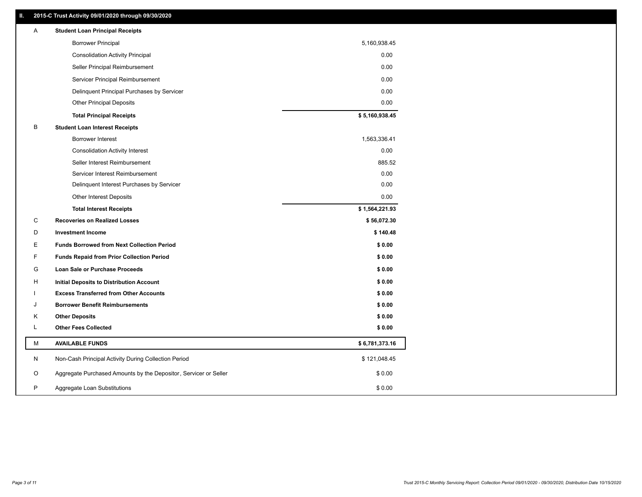## **II. 2015-C Trust Activity 09/01/2020 through 09/30/2020**

| Α | <b>Student Loan Principal Receipts</b>                           |                |
|---|------------------------------------------------------------------|----------------|
|   | <b>Borrower Principal</b>                                        | 5,160,938.45   |
|   | <b>Consolidation Activity Principal</b>                          | 0.00           |
|   | Seller Principal Reimbursement                                   | 0.00           |
|   | Servicer Principal Reimbursement                                 | 0.00           |
|   | Delinquent Principal Purchases by Servicer                       | 0.00           |
|   | <b>Other Principal Deposits</b>                                  | 0.00           |
|   | <b>Total Principal Receipts</b>                                  | \$5,160,938.45 |
| B | <b>Student Loan Interest Receipts</b>                            |                |
|   | Borrower Interest                                                | 1,563,336.41   |
|   | <b>Consolidation Activity Interest</b>                           | 0.00           |
|   | Seller Interest Reimbursement                                    | 885.52         |
|   | Servicer Interest Reimbursement                                  | 0.00           |
|   | Delinquent Interest Purchases by Servicer                        | 0.00           |
|   | <b>Other Interest Deposits</b>                                   | 0.00           |
|   | <b>Total Interest Receipts</b>                                   | \$1,564,221.93 |
| C | <b>Recoveries on Realized Losses</b>                             | \$56,072.30    |
| D | <b>Investment Income</b>                                         | \$140.48       |
| Ε | <b>Funds Borrowed from Next Collection Period</b>                | \$0.00         |
| F | <b>Funds Repaid from Prior Collection Period</b>                 | \$0.00         |
| G | Loan Sale or Purchase Proceeds                                   | \$0.00         |
| н | <b>Initial Deposits to Distribution Account</b>                  | \$0.00         |
|   | <b>Excess Transferred from Other Accounts</b>                    | \$0.00         |
| J | <b>Borrower Benefit Reimbursements</b>                           | \$0.00         |
| K | <b>Other Deposits</b>                                            | \$0.00         |
| L | <b>Other Fees Collected</b>                                      | \$0.00         |
| M | <b>AVAILABLE FUNDS</b>                                           | \$6,781,373.16 |
| N | Non-Cash Principal Activity During Collection Period             | \$121,048.45   |
| O | Aggregate Purchased Amounts by the Depositor, Servicer or Seller | \$0.00         |
| P |                                                                  |                |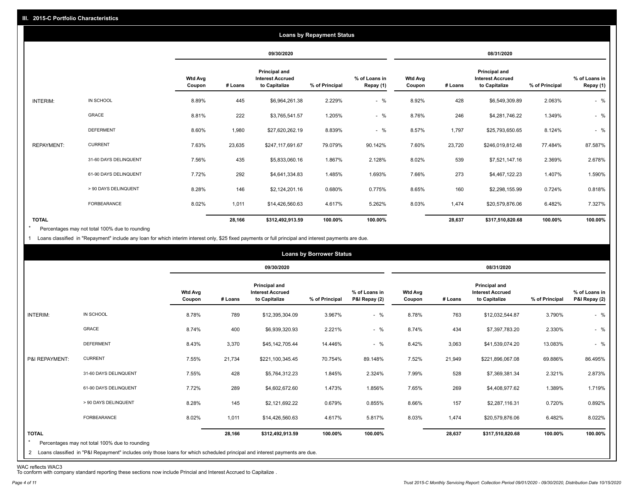|                   |                       |                          |         |                                                                  | <b>Loans by Repayment Status</b> |                            |                          |         |                                                           |                |                            |
|-------------------|-----------------------|--------------------------|---------|------------------------------------------------------------------|----------------------------------|----------------------------|--------------------------|---------|-----------------------------------------------------------|----------------|----------------------------|
|                   |                       |                          |         | 09/30/2020                                                       |                                  |                            |                          |         | 08/31/2020                                                |                |                            |
|                   |                       | <b>Wtd Avg</b><br>Coupon | # Loans | <b>Principal and</b><br><b>Interest Accrued</b><br>to Capitalize | % of Principal                   | % of Loans in<br>Repay (1) | <b>Wtd Avg</b><br>Coupon | # Loans | Principal and<br><b>Interest Accrued</b><br>to Capitalize | % of Principal | % of Loans in<br>Repay (1) |
| INTERIM:          | IN SCHOOL             | 8.89%                    | 445     | \$6,964,261.38                                                   | 2.229%                           | $-$ %                      | 8.92%                    | 428     | \$6,549,309.89                                            | 2.063%         | $-$ %                      |
|                   | GRACE                 | 8.81%                    | 222     | \$3,765,541.57                                                   | 1.205%                           | $-$ %                      | 8.76%                    | 246     | \$4,281,746.22                                            | 1.349%         | $-$ %                      |
|                   | <b>DEFERMENT</b>      | 8.60%                    | 1,980   | \$27,620,262.19                                                  | 8.839%                           | $-$ %                      | 8.57%                    | 1,797   | \$25,793,650.65                                           | 8.124%         | $-$ %                      |
| <b>REPAYMENT:</b> | <b>CURRENT</b>        | 7.63%                    | 23,635  | \$247,117,691.67                                                 | 79.079%                          | 90.142%                    | 7.60%                    | 23,720  | \$246,019,812.48                                          | 77.484%        | 87.587%                    |
|                   | 31-60 DAYS DELINQUENT | 7.56%                    | 435     | \$5,833,060.16                                                   | 1.867%                           | 2.128%                     | 8.02%                    | 539     | \$7,521,147.16                                            | 2.369%         | 2.678%                     |
|                   | 61-90 DAYS DELINQUENT | 7.72%                    | 292     | \$4,641,334.83                                                   | 1.485%                           | 1.693%                     | 7.66%                    | 273     | \$4,467,122.23                                            | 1.407%         | 1.590%                     |
|                   | > 90 DAYS DELINQUENT  | 8.28%                    | 146     | \$2,124,201.16                                                   | 0.680%                           | 0.775%                     | 8.65%                    | 160     | \$2,298,155.99                                            | 0.724%         | 0.818%                     |
|                   | FORBEARANCE           | 8.02%                    | 1,011   | \$14,426,560.63                                                  | 4.617%                           | 5.262%                     | 8.03%                    | 1,474   | \$20,579,876.06                                           | 6.482%         | 7.327%                     |
| <b>TOTAL</b>      |                       |                          | 28,166  | \$312,492,913.59                                                 | 100.00%                          | 100.00%                    |                          | 28,637  | \$317,510,820.68                                          | 100.00%        | 100.00%                    |

Percentages may not total 100% due to rounding  $\star$ 

1 Loans classified in "Repayment" include any loan for which interim interest only, \$25 fixed payments or full principal and interest payments are due.

|                         |                                                                                                                              |                          |         |                                                           | <b>Loans by Borrower Status</b> |                                |                          |         |                                                           |                |                                |
|-------------------------|------------------------------------------------------------------------------------------------------------------------------|--------------------------|---------|-----------------------------------------------------------|---------------------------------|--------------------------------|--------------------------|---------|-----------------------------------------------------------|----------------|--------------------------------|
|                         |                                                                                                                              |                          |         | 09/30/2020                                                |                                 |                                |                          |         | 08/31/2020                                                |                |                                |
|                         |                                                                                                                              | <b>Wtd Avg</b><br>Coupon | # Loans | Principal and<br><b>Interest Accrued</b><br>to Capitalize | % of Principal                  | % of Loans in<br>P&I Repay (2) | <b>Wtd Avg</b><br>Coupon | # Loans | Principal and<br><b>Interest Accrued</b><br>to Capitalize | % of Principal | % of Loans in<br>P&I Repay (2) |
| INTERIM:                | IN SCHOOL                                                                                                                    | 8.78%                    | 789     | \$12,395,304.09                                           | 3.967%                          | $-$ %                          | 8.78%                    | 763     | \$12,032,544.87                                           | 3.790%         | $-$ %                          |
|                         | GRACE                                                                                                                        | 8.74%                    | 400     | \$6,939,320.93                                            | 2.221%                          | $-$ %                          | 8.74%                    | 434     | \$7,397,783.20                                            | 2.330%         | $-$ %                          |
|                         | <b>DEFERMENT</b>                                                                                                             | 8.43%                    | 3,370   | \$45,142,705.44                                           | 14.446%                         | $-$ %                          | 8.42%                    | 3,063   | \$41,539,074.20                                           | 13.083%        | $-$ %                          |
| P&I REPAYMENT:          | <b>CURRENT</b>                                                                                                               | 7.55%                    | 21,734  | \$221,100,345.45                                          | 70.754%                         | 89.148%                        | 7.52%                    | 21,949  | \$221,896,067.08                                          | 69.886%        | 86.495%                        |
|                         | 31-60 DAYS DELINQUENT                                                                                                        | 7.55%                    | 428     | \$5,764,312.23                                            | 1.845%                          | 2.324%                         | 7.99%                    | 528     | \$7,369,381.34                                            | 2.321%         | 2.873%                         |
|                         | 61-90 DAYS DELINQUENT                                                                                                        | 7.72%                    | 289     | \$4,602,672.60                                            | 1.473%                          | 1.856%                         | 7.65%                    | 269     | \$4,408,977.62                                            | 1.389%         | 1.719%                         |
|                         | > 90 DAYS DELINQUENT                                                                                                         | 8.28%                    | 145     | \$2,121,692.22                                            | 0.679%                          | 0.855%                         | 8.66%                    | 157     | \$2,287,116.31                                            | 0.720%         | 0.892%                         |
|                         | FORBEARANCE                                                                                                                  | 8.02%                    | 1,011   | \$14,426,560.63                                           | 4.617%                          | 5.817%                         | 8.03%                    | 1,474   | \$20,579,876.06                                           | 6.482%         | 8.022%                         |
| <b>TOTAL</b><br>$\star$ | Percentages may not total 100% due to rounding                                                                               |                          | 28,166  | \$312,492,913.59                                          | 100.00%                         | 100.00%                        |                          | 28,637  | \$317,510,820.68                                          | 100.00%        | 100.00%                        |
|                         | 2 Loans classified in "P&I Repayment" includes only those loans for which scheduled principal and interest payments are due. |                          |         |                                                           |                                 |                                |                          |         |                                                           |                |                                |

WAC reflects WAC3 To conform with company standard reporting these sections now include Princial and Interest Accrued to Capitalize .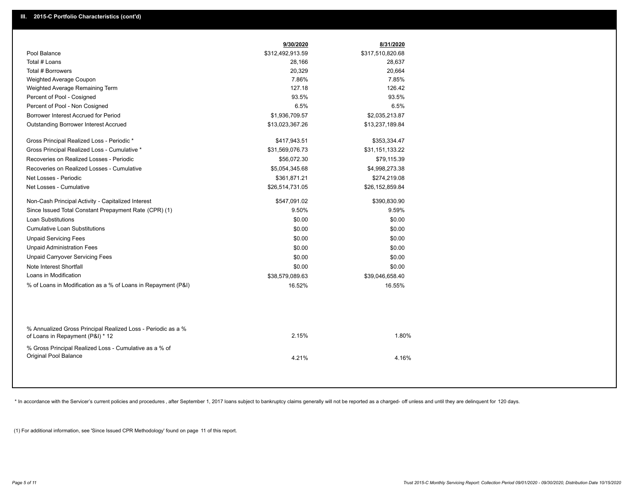|                                                                                                  | 9/30/2020        | 8/31/2020        |  |
|--------------------------------------------------------------------------------------------------|------------------|------------------|--|
| Pool Balance                                                                                     | \$312,492,913.59 | \$317,510,820.68 |  |
| Total # Loans                                                                                    | 28,166           | 28,637           |  |
| Total # Borrowers                                                                                | 20,329           | 20,664           |  |
| Weighted Average Coupon                                                                          | 7.86%            | 7.85%            |  |
| Weighted Average Remaining Term                                                                  | 127.18           | 126.42           |  |
| Percent of Pool - Cosigned                                                                       | 93.5%            | 93.5%            |  |
| Percent of Pool - Non Cosigned                                                                   | 6.5%             | 6.5%             |  |
| Borrower Interest Accrued for Period                                                             | \$1,936,709.57   | \$2,035,213.87   |  |
| Outstanding Borrower Interest Accrued                                                            | \$13,023,367.26  | \$13,237,189.84  |  |
| Gross Principal Realized Loss - Periodic *                                                       | \$417,943.51     | \$353,334.47     |  |
| Gross Principal Realized Loss - Cumulative *                                                     | \$31,569,076.73  | \$31,151,133.22  |  |
| Recoveries on Realized Losses - Periodic                                                         | \$56,072.30      | \$79,115.39      |  |
| Recoveries on Realized Losses - Cumulative                                                       | \$5,054,345.68   | \$4,998,273.38   |  |
| Net Losses - Periodic                                                                            | \$361,871.21     | \$274,219.08     |  |
| Net Losses - Cumulative                                                                          | \$26,514,731.05  | \$26,152,859.84  |  |
| Non-Cash Principal Activity - Capitalized Interest                                               | \$547,091.02     | \$390,830.90     |  |
| Since Issued Total Constant Prepayment Rate (CPR) (1)                                            | 9.50%            | 9.59%            |  |
| <b>Loan Substitutions</b>                                                                        | \$0.00           | \$0.00           |  |
| <b>Cumulative Loan Substitutions</b>                                                             | \$0.00           | \$0.00           |  |
| <b>Unpaid Servicing Fees</b>                                                                     | \$0.00           | \$0.00           |  |
| <b>Unpaid Administration Fees</b>                                                                | \$0.00           | \$0.00           |  |
| <b>Unpaid Carryover Servicing Fees</b>                                                           | \$0.00           | \$0.00           |  |
| Note Interest Shortfall                                                                          | \$0.00           | \$0.00           |  |
| Loans in Modification                                                                            | \$38,579,089.63  | \$39,046,658.40  |  |
| % of Loans in Modification as a % of Loans in Repayment (P&I)                                    | 16.52%           | 16.55%           |  |
|                                                                                                  |                  |                  |  |
| % Annualized Gross Principal Realized Loss - Periodic as a %<br>of Loans in Repayment (P&I) * 12 | 2.15%            | 1.80%            |  |
| % Gross Principal Realized Loss - Cumulative as a % of<br>Original Pool Balance                  | 4.21%            | 4.16%            |  |
|                                                                                                  |                  |                  |  |

\* In accordance with the Servicer's current policies and procedures, after September 1, 2017 loans subject to bankruptcy claims generally will not be reported as a charged- off unless and until they are delinquent for 120

(1) For additional information, see 'Since Issued CPR Methodology' found on page 11 of this report.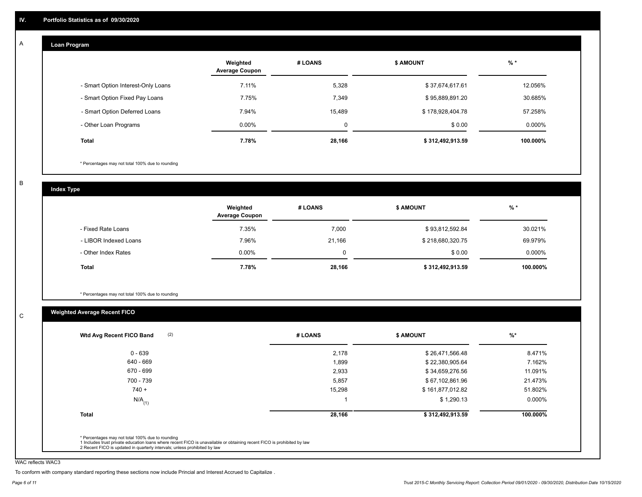#### **Loan Program**  A

|                                    | Weighted<br><b>Average Coupon</b> | # LOANS     | <b>\$ AMOUNT</b> | $%$ *     |
|------------------------------------|-----------------------------------|-------------|------------------|-----------|
| - Smart Option Interest-Only Loans | 7.11%                             | 5,328       | \$37,674,617.61  | 12.056%   |
| - Smart Option Fixed Pay Loans     | 7.75%                             | 7,349       | \$95,889,891.20  | 30.685%   |
| - Smart Option Deferred Loans      | 7.94%                             | 15.489      | \$178,928,404.78 | 57.258%   |
| - Other Loan Programs              | $0.00\%$                          | $\mathbf 0$ | \$0.00           | $0.000\%$ |
| <b>Total</b>                       | 7.78%                             | 28,166      | \$312,492,913.59 | 100.000%  |

\* Percentages may not total 100% due to rounding

B

C

**Index Type**

|                       | Weighted<br><b>Average Coupon</b> | # LOANS  | <b>\$ AMOUNT</b> | $%$ *    |
|-----------------------|-----------------------------------|----------|------------------|----------|
| - Fixed Rate Loans    | 7.35%                             | 7,000    | \$93,812,592.84  | 30.021%  |
| - LIBOR Indexed Loans | 7.96%                             | 21,166   | \$218,680,320.75 | 69.979%  |
| - Other Index Rates   | $0.00\%$                          | $\Omega$ | \$0.00           | 0.000%   |
| <b>Total</b>          | 7.78%                             | 28,166   | \$312,492,913.59 | 100.000% |

\* Percentages may not total 100% due to rounding

## **Weighted Average Recent FICO**

| $0 - 639$            | 2,178  | \$26,471,566.48  | 8.471%   |
|----------------------|--------|------------------|----------|
| 640 - 669            | 1,899  | \$22,380,905.64  | 7.162%   |
| 670 - 699            | 2,933  | \$34,659,276.56  | 11.091%  |
| 700 - 739            | 5,857  | \$67,102,861.96  | 21.473%  |
| $740 +$              | 15,298 | \$161,877,012.82 | 51.802%  |
| $N/A$ <sub>(1)</sub> |        | \$1,290.13       | 0.000%   |
| <b>Total</b>         | 28,166 | \$312,492,913.59 | 100.000% |

WAC reflects WAC3

To conform with company standard reporting these sections now include Princial and Interest Accrued to Capitalize .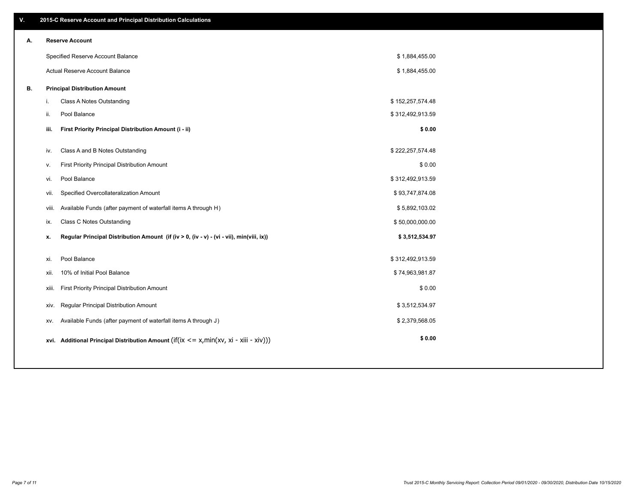| V. |       | 2015-C Reserve Account and Principal Distribution Calculations                             |                  |  |
|----|-------|--------------------------------------------------------------------------------------------|------------------|--|
| А. |       | <b>Reserve Account</b>                                                                     |                  |  |
|    |       | Specified Reserve Account Balance                                                          | \$1,884,455.00   |  |
|    |       | Actual Reserve Account Balance                                                             | \$1,884,455.00   |  |
| В. |       | <b>Principal Distribution Amount</b>                                                       |                  |  |
|    | i.    | Class A Notes Outstanding                                                                  | \$152,257,574.48 |  |
|    | ii.   | Pool Balance                                                                               | \$312,492,913.59 |  |
|    | iii.  | First Priority Principal Distribution Amount (i - ii)                                      | \$0.00           |  |
|    | iv.   | Class A and B Notes Outstanding                                                            | \$222,257,574.48 |  |
|    | v.    | First Priority Principal Distribution Amount                                               | \$0.00           |  |
|    | vi.   | Pool Balance                                                                               | \$312,492,913.59 |  |
|    | vii.  | Specified Overcollateralization Amount                                                     | \$93,747,874.08  |  |
|    | viii. | Available Funds (after payment of waterfall items A through H)                             | \$5,892,103.02   |  |
|    | ix.   | <b>Class C Notes Outstanding</b>                                                           | \$50,000,000.00  |  |
|    | х.    | Regular Principal Distribution Amount (if (iv > 0, (iv - v) - (vi - vii), min(viii, ix))   | \$3,512,534.97   |  |
|    |       | Pool Balance                                                                               |                  |  |
|    | xi.   |                                                                                            | \$312,492,913.59 |  |
|    | xii.  | 10% of Initial Pool Balance                                                                | \$74,963,981.87  |  |
|    | xiii. | First Priority Principal Distribution Amount                                               | \$0.00           |  |
|    | XIV.  | Regular Principal Distribution Amount                                                      | \$3,512,534.97   |  |
|    | XV.   | Available Funds (after payment of waterfall items A through J)                             | \$2,379,568.05   |  |
|    |       | xvi. Additional Principal Distribution Amount (if(ix $\lt$ = x, min(xv, xi - xiii - xiv))) | \$0.00           |  |
|    |       |                                                                                            |                  |  |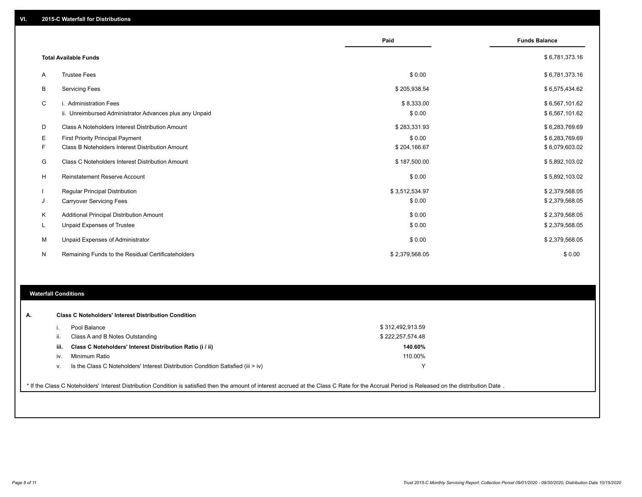|    |                                                         | Paid           | <b>Funds Balance</b> |
|----|---------------------------------------------------------|----------------|----------------------|
|    | <b>Total Available Funds</b>                            |                | \$6,781,373.16       |
| Α  | <b>Trustee Fees</b>                                     | \$0.00         | \$6,781,373.16       |
| В  | <b>Servicing Fees</b>                                   | \$205,938.54   | \$6,575,434.62       |
| C  | i. Administration Fees                                  | \$8,333.00     | \$6,567,101.62       |
|    | ii. Unreimbursed Administrator Advances plus any Unpaid | \$0.00         | \$6,567,101.62       |
| D  | Class A Noteholders Interest Distribution Amount        | \$283,331.93   | \$6,283,769.69       |
| Е  | First Priority Principal Payment                        | \$0.00         | \$6,283,769.69       |
| F. | Class B Noteholders Interest Distribution Amount        | \$204,166.67   | \$6,079,603.02       |
| G  | <b>Class C Noteholders Interest Distribution Amount</b> | \$187,500.00   | \$5,892,103.02       |
| H  | Reinstatement Reserve Account                           | \$0.00         | \$5,892,103.02       |
|    | Regular Principal Distribution                          | \$3,512,534.97 | \$2,379,568.05       |
| J  | <b>Carryover Servicing Fees</b>                         | \$0.00         | \$2,379,568.05       |
| Κ  | Additional Principal Distribution Amount                | \$0.00         | \$2,379,568.05       |
| L  | Unpaid Expenses of Trustee                              | \$0.00         | \$2,379,568.05       |
| M  | Unpaid Expenses of Administrator                        | \$0.00         | \$2,379,568.05       |
| N  | Remaining Funds to the Residual Certificateholders      | \$2,379,568.05 | \$0.00               |

## **Waterfall Conditions**

|      | Pool Balance                                                                       | \$312,492,913.59 |  |
|------|------------------------------------------------------------------------------------|------------------|--|
|      | Class A and B Notes Outstanding                                                    | \$222,257,574.48 |  |
| iii. | Class C Noteholders' Interest Distribution Ratio (i / ii)                          | 140.60%          |  |
| iv.  | Minimum Ratio                                                                      | 110.00%          |  |
| v.   | Is the Class C Noteholders' Interest Distribution Condition Satisfied (iii $>$ iv) |                  |  |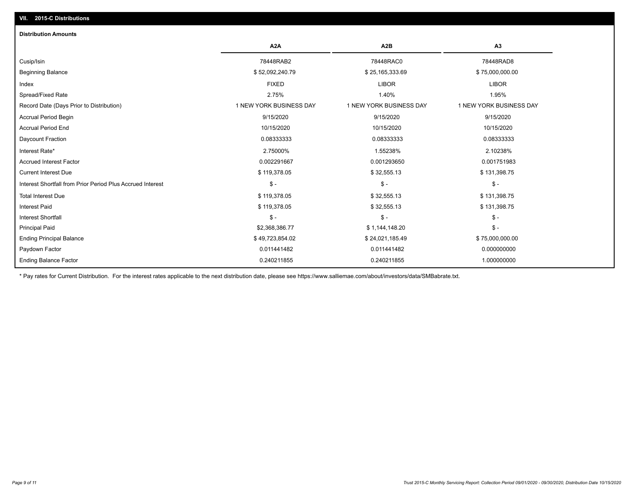## Paydown Factor 0.011441482 0.011441482 0.000000000 Ending Principal Balance \$ 75,000,000.00 \$ \$ 49,723,854.02 \$ 49,723,854.02 \$ 24,021,185.49 \$ 75,000,000.00 Principal Paid \$2,368,386.77 \$ 1,144,148.20 \$ - Interest Shortfall \$ - \$ - \$ - Interest Paid \$ 119,378.05 \$ 32,555.13 \$ 131,398.75 Total Interest Due \$ 119,378.05 \$ 32,555.13 \$ \$ 32,555.13 \$ 32,555.13 \$ 32,555.13 Interest Shortfall from Prior Period Plus Accrued Interest \$ - \$ - \$ - Current Interest Due \$ 119,378.05 \$ 32,555.13 \$ 131,398.75 Accrued Interest Factor 0.002291667 0.001293650 0.001751983 Interest Rate\* 2.75000% 1.55238% 2.10238% Daycount Fraction 0.08333333 0.08333333 0.08333333 Accrual Period End 10/15/2020 10/15/2020 10/15/2020 Accrual Period Begin 9/15/2020 9/15/2020 9/15/2020 Record Date (Days Prior to Distribution) 1 1 NEW YORK BUSINESS DAY 1 NEW YORK BUSINESS DAY 1 NEW YORK BUSINESS DAY Spread/Fixed Rate 2.75% 1.40% 1.95% Index FIXED LIBOR LIBOR Beginning Balance \$ 75,000,000.00 \$ \$ \$2,092,240.79 \$ \$52,092,240.79 \$ \$25,165,333.69 \$ 75,000,000.00 Cusip/Isin 78448RAB2 78448RAC0 78448RAD8 **A2A A2B A3 Distribution Amounts VII. 2015-C Distributions**

0.240211855 0.240211855 1.000000000

\* Pay rates for Current Distribution. For the interest rates applicable to the next distribution date, please see https://www.salliemae.com/about/investors/data/SMBabrate.txt.

Ending Balance Factor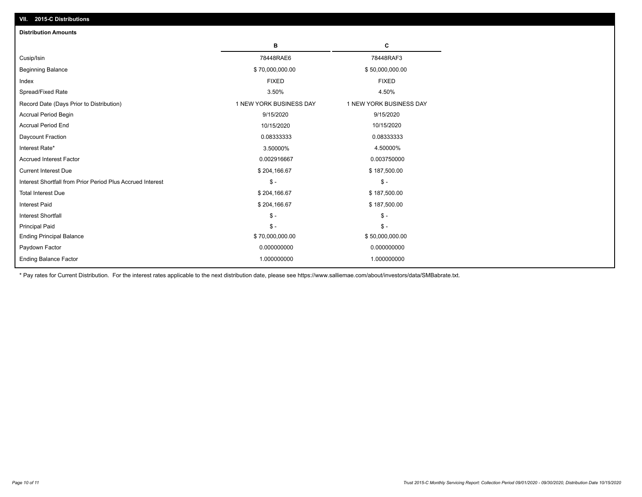| <b>Distribution Amounts</b>                                |                         |                         |
|------------------------------------------------------------|-------------------------|-------------------------|
|                                                            | в                       | C                       |
| Cusip/Isin                                                 | 78448RAE6               | 78448RAF3               |
| <b>Beginning Balance</b>                                   | \$70,000,000.00         | \$50,000,000.00         |
| Index                                                      | <b>FIXED</b>            | <b>FIXED</b>            |
| Spread/Fixed Rate                                          | 3.50%                   | 4.50%                   |
| Record Date (Days Prior to Distribution)                   | 1 NEW YORK BUSINESS DAY | 1 NEW YORK BUSINESS DAY |
| <b>Accrual Period Begin</b>                                | 9/15/2020               | 9/15/2020               |
| <b>Accrual Period End</b>                                  | 10/15/2020              | 10/15/2020              |
| Daycount Fraction                                          | 0.08333333              | 0.08333333              |
| Interest Rate*                                             | 3.50000%                | 4.50000%                |
| <b>Accrued Interest Factor</b>                             | 0.002916667             | 0.003750000             |
| <b>Current Interest Due</b>                                | \$204,166.67            | \$187,500.00            |
| Interest Shortfall from Prior Period Plus Accrued Interest | $\mathsf{\$}$ -         | $\mathsf{\$}$ -         |
| <b>Total Interest Due</b>                                  | \$204,166.67            | \$187,500.00            |
| <b>Interest Paid</b>                                       | \$204,166.67            | \$187,500.00            |
| <b>Interest Shortfall</b>                                  | $\mathsf{\$}$ -         | $\mathsf{\$}$ -         |
| <b>Principal Paid</b>                                      | $\mathsf{\$}$ -         | $\mathsf{\$}$ -         |
| <b>Ending Principal Balance</b>                            | \$70,000,000.00         | \$50,000,000.00         |
| Paydown Factor                                             | 0.000000000             | 0.000000000             |
| <b>Ending Balance Factor</b>                               | 1.000000000             | 1.000000000             |

\* Pay rates for Current Distribution. For the interest rates applicable to the next distribution date, please see https://www.salliemae.com/about/investors/data/SMBabrate.txt.

**VII. 2015-C Distributions**